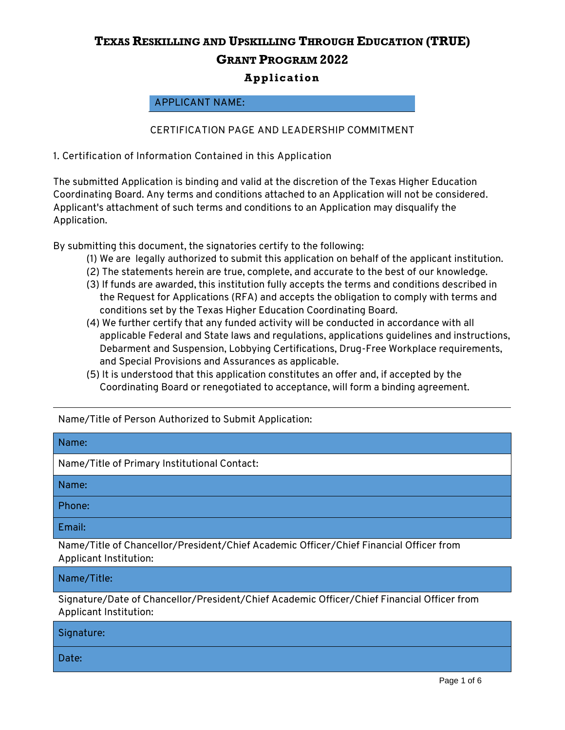#### **APPLICANT NAME:**

#### **CERTIFICATION PAGE AND LEADERSHIP COMMITMENT**

**1. Certification of Information Contained in this Application** 

The submitted Application is binding and valid at the discretion of the Texas Higher Education Coordinating Board. Any terms and conditions attached to an Application will not be considered. Applicant's attachment of such terms and conditions to an Application may disqualify the Application.

By submitting this document, the signatories certify to the following:

- (1) We are legally authorized to submit this application on behalf of the applicant institution.
- (2) The statements herein are true, complete, and accurate to the best of our knowledge.
- (3) If funds are awarded, this institution fully accepts the terms and conditions described in the Request for Applications (RFA) and accepts the obligation to comply with terms and conditions set by the Texas Higher Education Coordinating Board.
- (4) We further certify that any funded activity will be conducted in accordance with all applicable Federal and State laws and regulations, applications guidelines and instructions, Debarment and Suspension, Lobbying Certifications, Drug-Free Workplace requirements, and Special Provisions and Assurances as applicable.
- (5) It is understood that this application constitutes an offer and, if accepted by the Coordinating Board or renegotiated to acceptance, will form a binding agreement.

Name/Title of Person Authorized to Submit Application:

| Name:                                                                                                            |
|------------------------------------------------------------------------------------------------------------------|
| Name/Title of Primary Institutional Contact:                                                                     |
| Name:                                                                                                            |
| Phone:                                                                                                           |
| Email:                                                                                                           |
| Name/Title of Chancellor/President/Chief Academic Officer/Chief Financial Officer from<br>Applicant Institution: |

Name/Title:

Signature/Date of Chancellor/President/Chief Academic Officer/Chief Financial Officer from Applicant Institution:

| Signature: |  |  |
|------------|--|--|
| Date:      |  |  |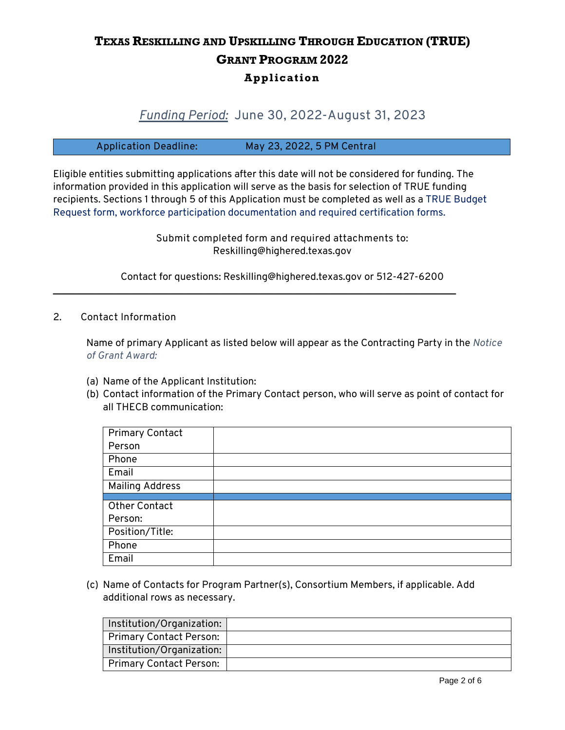### *Funding Period:* **June 30, 2022-August 31, 2023**

**Application Deadline: May 23, 2022, 5 PM Central**

Eligible entities submitting applications after this date will not be considered for funding. The information provided in this application will serve as the basis for selection of TRUE funding recipients. Sections 1 through 5 of this Application must be completed as well as a TRUE Budget Request form, workforce participation documentation and required certification forms.

> **Submit completed form and required attachments to:** Reskilling@highered.texas.gov

Contact for questions: Reskilling@highered.texas.gov or 512-427-6200

\_\_\_\_\_\_\_\_\_\_\_\_\_\_\_\_\_\_\_\_\_\_\_\_\_\_\_\_\_\_\_\_\_\_\_\_\_\_\_\_\_\_\_\_\_\_\_\_\_\_\_\_\_\_\_\_\_\_\_\_\_\_\_\_\_\_\_\_\_\_\_\_\_\_\_\_\_\_\_\_\_

**2.**☐☒**Contact Information**

Name of primary Applicant as listed below will appear as the Contracting Party in the *Notice of Grant Award:*

- (a) Name of the Applicant Institution:
- (b) Contact information of the Primary Contact person, who will serve as point of contact for all THECB communication:

| <b>Primary Contact</b> |  |
|------------------------|--|
| Person                 |  |
| Phone                  |  |
| Email                  |  |
| <b>Mailing Address</b> |  |
|                        |  |
| <b>Other Contact</b>   |  |
| Person:                |  |
| Position/Title:        |  |
| Phone                  |  |
| Email                  |  |

(c) Name of Contacts for Program Partner(s), Consortium Members, if applicable. Add additional rows as necessary.

| Institution/Organization: |  |
|---------------------------|--|
| Primary Contact Person:   |  |
| Institution/Organization: |  |
| Primary Contact Person:   |  |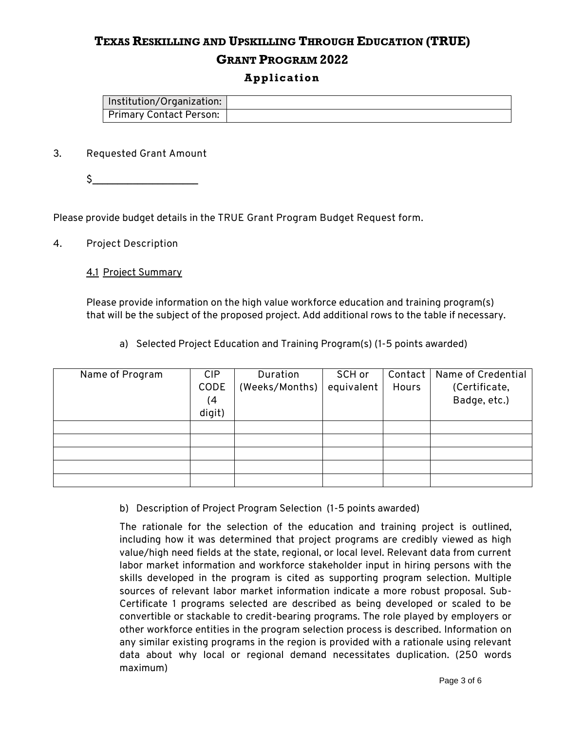# **TEXAS RESKILLING AND UPSKILLING THROUGH EDUCATION (TRUE) GRANT PROGRAM 2022**

#### **Application**

| Institution/Organization:      |  |
|--------------------------------|--|
| <b>Primary Contact Person:</b> |  |

#### **3. Requested Grant Amount**

 $\zeta$ 

Please provide budget details in the **TRUE Grant Program Budget Request form**.

#### **4. Project Description**

#### 4.1 Project Summary

Please provide information on the high value workforce education and training program(s) that will be the subject of the proposed project. Add additional rows to the table if necessary.

a) Selected Project Education and Training Program(s) (1-5 points awarded)

| Name of Program | <b>CIP</b> | Duration       | SCH or     | Contact | Name of Credential |
|-----------------|------------|----------------|------------|---------|--------------------|
|                 | CODE       | (Weeks/Months) | equivalent | Hours   | (Certificate,      |
|                 | (4)        |                |            |         | Badge, etc.)       |
|                 | digit)     |                |            |         |                    |
|                 |            |                |            |         |                    |
|                 |            |                |            |         |                    |
|                 |            |                |            |         |                    |
|                 |            |                |            |         |                    |
|                 |            |                |            |         |                    |

b) Description of Project Program Selection (1-5 points awarded)

The rationale for the selection of the education and training project is outlined, including how it was determined that project programs are credibly viewed as high value/high need fields at the state, regional, or local level. Relevant data from current labor market information and workforce stakeholder input in hiring persons with the skills developed in the program is cited as supporting program selection. Multiple sources of relevant labor market information indicate a more robust proposal. Sub-Certificate 1 programs selected are described as being developed or scaled to be convertible or stackable to credit-bearing programs. The role played by employers or other workforce entities in the program selection process is described. Information on any similar existing programs in the region is provided with a rationale using relevant data about why local or regional demand necessitates duplication. (250 words maximum)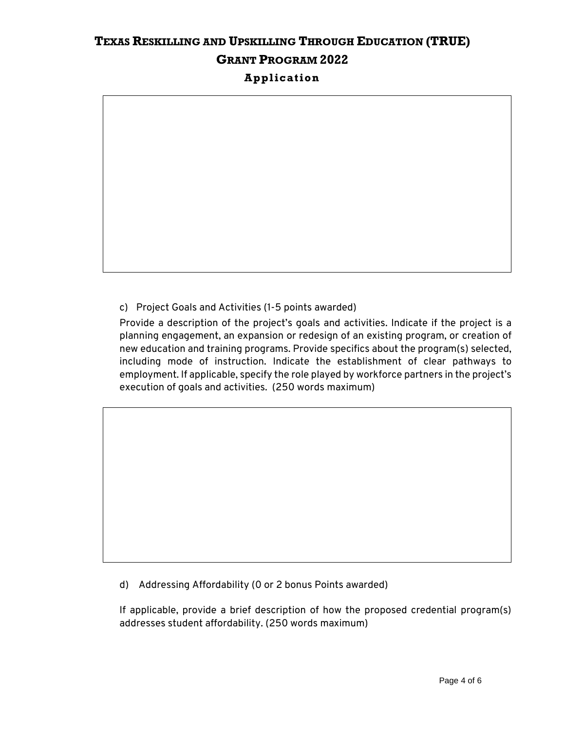c) Project Goals and Activities (1-5 points awarded)

Provide a description of the project's goals and activities. Indicate if the project is a planning engagement, an expansion or redesign of an existing program, or creation of new education and training programs. Provide specifics about the program(s) selected, including mode of instruction. Indicate the establishment of clear pathways to employment. If applicable, specify the role played by workforce partners in the project's execution of goals and activities. (250 words maximum)

d) Addressing Affordability (0 or 2 bonus Points awarded)

If applicable, provide a brief description of how the proposed credential program(s) addresses student affordability. (250 words maximum)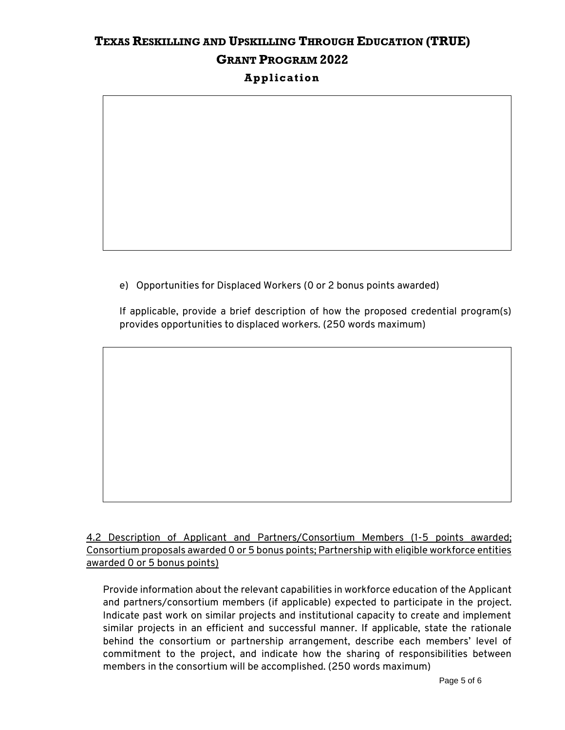e) Opportunities for Displaced Workers (0 or 2 bonus points awarded)

If applicable, provide a brief description of how the proposed credential program(s) provides opportunities to displaced workers. (250 words maximum)

4.2 Description of Applicant and Partners/Consortium Members (1-5 points awarded; Consortium proposals awarded 0 or 5 bonus points; Partnership with eligible workforce entities awarded 0 or 5 bonus points)

Provide information about the relevant capabilities in workforce education of the Applicant and partners/consortium members (if applicable) expected to participate in the project. Indicate past work on similar projects and institutional capacity to create and implement similar projects in an efficient and successful manner. If applicable, state the rationale behind the consortium or partnership arrangement, describe each members' level of commitment to the project, and indicate how the sharing of responsibilities between members in the consortium will be accomplished. (250 words maximum)